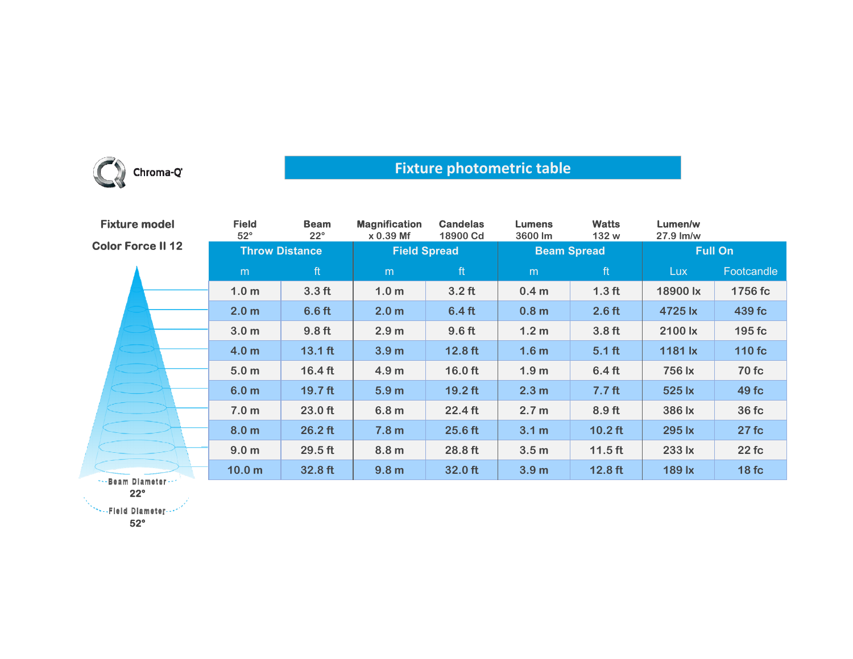

## **Fixture photometric table**

| <b>Fixture model</b>     | <b>Field</b><br>$52^\circ$ | <b>Beam</b><br>$22^\circ$ | <b>Magnification</b><br>$x 0.39$ Mf | <b>Candelas</b><br>18900 Cd | <b>Lumens</b><br>3600 lm | <b>Watts</b><br>132 w | Lumen/w<br>27.9 lm/w |              |
|--------------------------|----------------------------|---------------------------|-------------------------------------|-----------------------------|--------------------------|-----------------------|----------------------|--------------|
| <b>Color Force II 12</b> | <b>Throw Distance</b>      |                           | <b>Field Spread</b>                 |                             | <b>Beam Spread</b>       |                       | <b>Full On</b>       |              |
|                          | m                          | ft                        | m                                   | ft                          | m                        | ft                    | Lux                  | Footcandle   |
|                          | 1.0 <sub>m</sub>           | 3.3 <sub>ft</sub>         | 1.0 <sub>m</sub>                    | $3.2$ ft                    | 0.4 <sub>m</sub>         | 1.3 <sub>ft</sub>     | 18900 lx             | 1756 fc      |
|                          | 2.0 <sub>m</sub>           | 6.6 <sub>ft</sub>         | 2.0 <sub>m</sub>                    | 6.4 <sub>ft</sub>           | 0.8 <sub>m</sub>         | $2.6$ ft              | 4725 lx              | 439 fc       |
|                          | 3.0 <sub>m</sub>           | 9.8 <sub>ft</sub>         | 2.9 <sub>m</sub>                    | 9.6 ft                      | 1.2 <sub>m</sub>         | 3.8 <sub>ft</sub>     | 2100 lx              | 195 fc       |
|                          | 4.0 <sub>m</sub>           | $13.1$ ft                 | 3.9 <sub>m</sub>                    | $12.8$ ft                   | 1.6 <sub>m</sub>         | $5.1$ ft              | 1181 lx              | 110 fc       |
|                          | 5.0 <sub>m</sub>           | $16.4 \text{ ft}$         | 4.9 <sub>m</sub>                    | $16.0$ ft                   | 1.9 <sub>m</sub>         | $6.4$ ft              | 756 lx               | <b>70 fc</b> |
|                          | 6.0 <sub>m</sub>           | 19.7 <sub>ft</sub>        | 5.9 <sub>m</sub>                    | $19.2$ ft                   | 2.3 <sub>m</sub>         | 7.7 <sub>ft</sub>     | 525 lx               | 49 fc        |
|                          | 7.0 <sub>m</sub>           | 23.0 ft                   | 6.8 <sub>m</sub>                    | 22.4 ft                     | 2.7 <sub>m</sub>         | 8.9 ft                | 386 lx               | 36 fc        |
|                          | 8.0 <sub>m</sub>           | $26.2$ ft                 | 7.8 <sub>m</sub>                    | 25.6 ft                     | 3.1 <sub>m</sub>         | $10.2$ ft             | 295 lx               | 27fc         |
|                          | 9.0 <sub>m</sub>           | $29.5$ ft                 | 8.8 <sub>m</sub>                    | 28.8 ft                     | 3.5 <sub>m</sub>         | $11.5$ ft             | 233 lx               | 22fc         |
| Boom Blometon            | 10.0 <sub>m</sub>          | 32.8 ft                   | 9.8 <sub>m</sub>                    | 32.0 ft                     | 3.9 <sub>m</sub>         | $12.8$ ft             | 189 lx               | 18fc         |

\*\*\*Beam Diameter\* **22°**

**52°**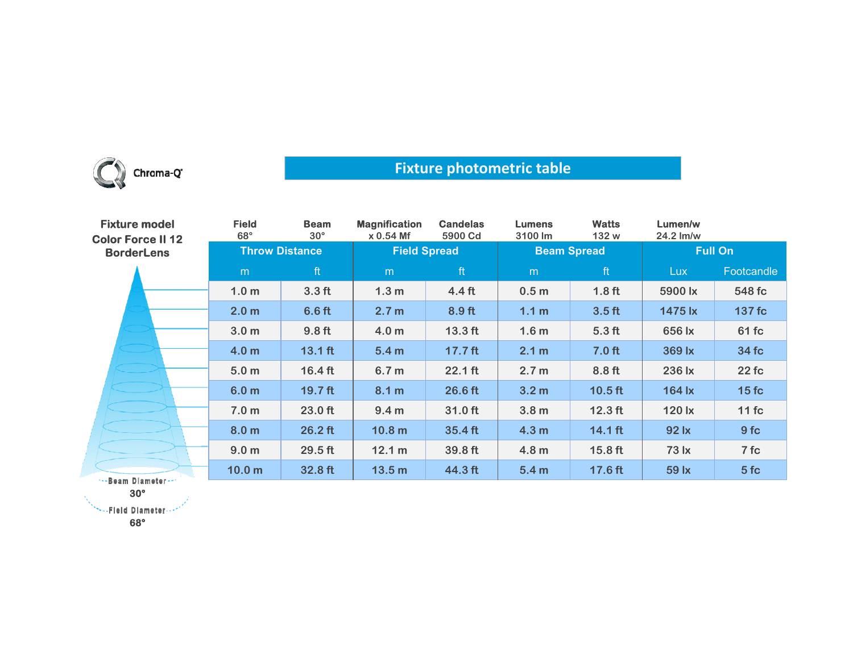

## **Fixture photometric table**

| <b>Fixture model</b><br><b>Color Force II 12</b> | <b>Field</b><br>$68^\circ$ | <b>Beam</b><br>$30^{\circ}$ | <b>Magnification</b><br>$x 0.54$ Mf | <b>Candelas</b><br>5900 Cd | <b>Lumens</b><br>3100 lm | <b>Watts</b><br>132 w | Lumen/w<br>24.2 lm/w |                 |
|--------------------------------------------------|----------------------------|-----------------------------|-------------------------------------|----------------------------|--------------------------|-----------------------|----------------------|-----------------|
| <b>BorderLens</b>                                | <b>Throw Distance</b>      |                             | <b>Field Spread</b>                 |                            | <b>Beam Spread</b>       |                       | <b>Full On</b>       |                 |
|                                                  | m                          | ft                          | m                                   | ft                         | m                        | ft                    | <b>Lux</b>           | Footcandle      |
|                                                  | 1.0 <sub>m</sub>           | 3.3 <sub>ft</sub>           | 1.3 <sub>m</sub>                    | 4.4 <sub>ft</sub>          | 0.5 <sub>m</sub>         | 1.8 <sub>ft</sub>     | 5900 lx              | 548 fc          |
|                                                  | 2.0 <sub>m</sub>           | 6.6 <sub>ft</sub>           | 2.7 <sub>m</sub>                    | 8.9 ft                     | 1.1 <sub>m</sub>         | 3.5 <sub>ft</sub>     | 1475 lx              | 137 fc          |
|                                                  | 3.0 <sub>m</sub>           | 9.8 <sub>ft</sub>           | 4.0 <sub>m</sub>                    | $13.3$ ft                  | 1.6 <sub>m</sub>         | 5.3 <sub>ft</sub>     | 656 lx               | 61 fc           |
|                                                  | 4.0 <sub>m</sub>           | $13.1$ ft                   | 5.4 <sub>m</sub>                    | 17.7 <sub>ft</sub>         | 2.1 m                    | 7.0 <sub>ft</sub>     | 369 lx               | 34 fc           |
|                                                  | 5.0 <sub>m</sub>           | $16.4$ ft                   | 6.7 <sub>m</sub>                    | $22.1$ ft                  | 2.7 <sub>m</sub>         | 8.8 ft                | 236 lx               | 22 fc           |
|                                                  | 6.0 <sub>m</sub>           | $19.7$ ft                   | 8.1 m                               | 26.6 ft                    | 3.2 <sub>m</sub>         | $10.5$ ft             | 164 lx               | 15fc            |
|                                                  | 7.0 <sub>m</sub>           | 23.0 ft                     | 9.4 <sub>m</sub>                    | 31.0 ft                    | 3.8 <sub>m</sub>         | $12.3$ ft             | 120 lx               | 11fc            |
|                                                  | 8.0 <sub>m</sub>           | $26.2$ ft                   | 10.8 <sub>m</sub>                   | 35.4 ft                    | 4.3 <sub>m</sub>         | $14.1$ ft             | 92 lx                | 9fc             |
|                                                  | 9.0 <sub>m</sub>           | $29.5$ ft                   | 12.1 m                              | $39.8$ ft                  | 4.8 <sub>m</sub>         | $15.8$ ft             | 73 lx                | 7 fc            |
| s. Baam Blamadar                                 | 10.0 <sub>m</sub>          | 32.8 ft                     | 13.5 <sub>m</sub>                   | 44.3 ft                    | 5.4 <sub>m</sub>         | 17.6 ft               | 59 lx                | 5f <sub>c</sub> |

<mark>-Beam Diameter</mark> **30°**

\*\*\*\*Fleid Diameter \*\*\*

**68°**